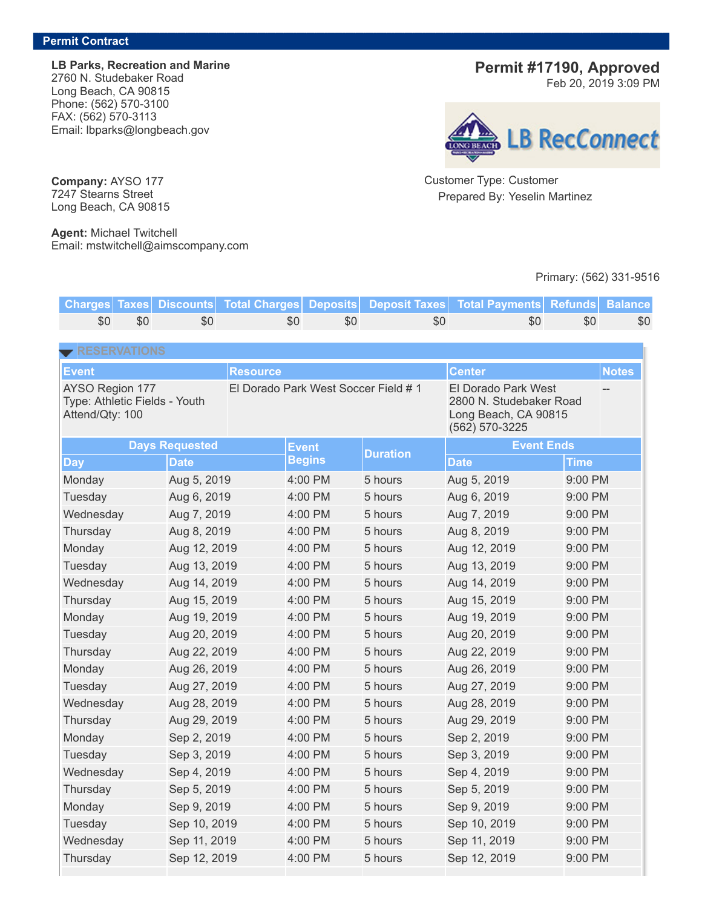**LB Parks, Recreation and Marine** 2760 N. Studebaker Road Long Beach, CA 90815 Phone: (562) 570-3100 FAX: (562) 570-3113 Email: lbparks@longbeach.gov

# **Permit #17190, Approved**

Feb 20, 2019 3:09 PM



Customer Type: Customer Prepared By: Yeselin Martinez

### Primary: (562) 331-9516

**Charges Taxes Discounts Total Charges Deposits Deposit Taxes Total Payments Refunds Balance** \$0 \$0 \$0 \$0 \$0 \$0 \$0 \$0 \$0 **Event Resource Center Notes** AYSO Region 177 Type: Athletic Fields - Youth Attend/Qty: 100 El Dorado Park West Soccer Field # 1 El Dorado Park West 2800 N. Studebaker Road Long Beach, CA 90815 (562) 570-3225 -- **Days** Requested **Event Begins Duration Event Ends Day Date Date Time** Monday Aug 5, 2019 4:00 PM 5 hours Aug 5, 2019 9:00 PM Tuesday Aug 6, 2019 4:00 PM 5 hours Aug 6, 2019 9:00 PM Wednesday Aug 7, 2019 4:00 PM 5 hours Aug 7, 2019 9:00 PM Thursday Aug 8, 2019 4:00 PM 5 hours Aug 8, 2019 9:00 PM Monday Aug 12, 2019 4:00 PM 5 hours Aug 12, 2019 9:00 PM Tuesday Aug 13, 2019 4:00 PM 5 hours Aug 13, 2019 9:00 PM Wednesday Aug 14, 2019 4:00 PM 5 hours Aug 14, 2019 9:00 PM Thursday Aug 15, 2019 4:00 PM 5 hours Aug 15, 2019 9:00 PM Monday Aug 19, 2019 4:00 PM 5 hours Aug 19, 2019 9:00 PM Tuesday Aug 20, 2019 4:00 PM 5 hours Aug 20, 2019 9:00 PM Thursday Aug 22, 2019 4:00 PM 5 hours Aug 22, 2019 9:00 PM Monday Aug 26, 2019 4:00 PM 5 hours Aug 26, 2019 9:00 PM Tuesday Aug 27, 2019 4:00 PM 5 hours Aug 27, 2019 9:00 PM Wednesday Aug 28, 2019 4:00 PM 5 hours Aug 28, 2019 9:00 PM Thursday Aug 29, 2019 4:00 PM 5 hours Aug 29, 2019 9:00 PM Monday 6. Sep 2, 2019 4:00 PM 5 hours Sep 2, 2019 9:00 PM Tuesday 5ep 3, 2019 4:00 PM 5 hours Sep 3, 2019 9:00 PM Wednesday Sep 4, 2019 4:00 PM 5 hours Sep 4, 2019 9:00 PM Thursday Sep 5, 2019 4:00 PM 5 hours Sep 5, 2019 9:00 PM Monday 6. Sep 9, 2019 4:00 PM 5 hours Sep 9, 2019 9:00 PM Tuesday 6. Sep 10, 2019 4:00 PM 5 hours Sep 10, 2019 9:00 PM Wednesday Sep 11, 2019 4:00 PM 5 hours Sep 11, 2019 9:00 PM Thursday Sep 12, 2019 4:00 PM 5 hours Sep 12, 2019 9:00 PM

**Company:** AYSO 177 7247 Stearns Street Long Beach, CA 90815

**Agent:** Michael Twitchell Email: mstwitchell@aimscompany.com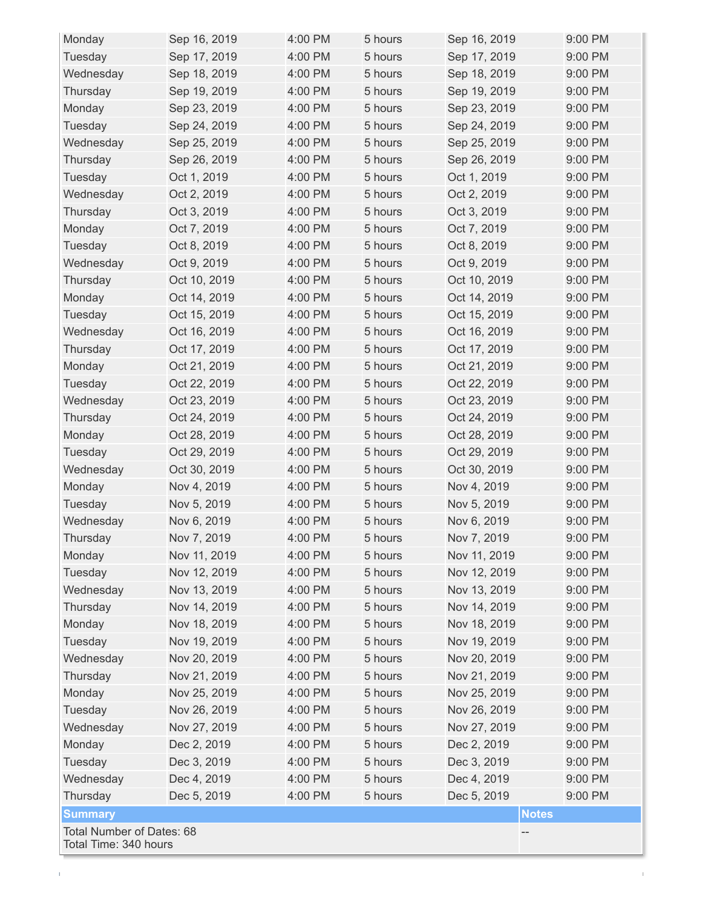| Monday                                             | Sep 16, 2019 | 4:00 PM | 5 hours | Sep 16, 2019 | 9:00 PM |  |  |
|----------------------------------------------------|--------------|---------|---------|--------------|---------|--|--|
| Tuesday                                            | Sep 17, 2019 | 4:00 PM | 5 hours | Sep 17, 2019 | 9:00 PM |  |  |
| Wednesday                                          | Sep 18, 2019 | 4:00 PM | 5 hours | Sep 18, 2019 | 9:00 PM |  |  |
| Thursday                                           | Sep 19, 2019 | 4:00 PM | 5 hours | Sep 19, 2019 | 9:00 PM |  |  |
| Monday                                             | Sep 23, 2019 | 4:00 PM | 5 hours | Sep 23, 2019 | 9:00 PM |  |  |
| Tuesday                                            | Sep 24, 2019 | 4:00 PM | 5 hours | Sep 24, 2019 | 9:00 PM |  |  |
| Wednesday                                          | Sep 25, 2019 | 4:00 PM | 5 hours | Sep 25, 2019 | 9:00 PM |  |  |
| Thursday                                           | Sep 26, 2019 | 4:00 PM | 5 hours | Sep 26, 2019 | 9:00 PM |  |  |
| Tuesday                                            | Oct 1, 2019  | 4:00 PM | 5 hours | Oct 1, 2019  | 9:00 PM |  |  |
| Wednesday                                          | Oct 2, 2019  | 4:00 PM | 5 hours | Oct 2, 2019  | 9:00 PM |  |  |
| Thursday                                           | Oct 3, 2019  | 4:00 PM | 5 hours | Oct 3, 2019  | 9:00 PM |  |  |
| Monday                                             | Oct 7, 2019  | 4:00 PM | 5 hours | Oct 7, 2019  | 9:00 PM |  |  |
| Tuesday                                            | Oct 8, 2019  | 4:00 PM | 5 hours | Oct 8, 2019  | 9:00 PM |  |  |
| Wednesday                                          | Oct 9, 2019  | 4:00 PM | 5 hours | Oct 9, 2019  | 9:00 PM |  |  |
| Thursday                                           | Oct 10, 2019 | 4:00 PM | 5 hours | Oct 10, 2019 | 9:00 PM |  |  |
| Monday                                             | Oct 14, 2019 | 4:00 PM | 5 hours | Oct 14, 2019 | 9:00 PM |  |  |
| Tuesday                                            | Oct 15, 2019 | 4:00 PM | 5 hours | Oct 15, 2019 | 9:00 PM |  |  |
| Wednesday                                          | Oct 16, 2019 | 4:00 PM | 5 hours | Oct 16, 2019 | 9:00 PM |  |  |
| Thursday                                           | Oct 17, 2019 | 4:00 PM | 5 hours | Oct 17, 2019 | 9:00 PM |  |  |
| Monday                                             | Oct 21, 2019 | 4:00 PM | 5 hours | Oct 21, 2019 | 9:00 PM |  |  |
| Tuesday                                            | Oct 22, 2019 | 4:00 PM | 5 hours | Oct 22, 2019 | 9:00 PM |  |  |
| Wednesday                                          | Oct 23, 2019 | 4:00 PM | 5 hours | Oct 23, 2019 | 9:00 PM |  |  |
| Thursday                                           | Oct 24, 2019 | 4:00 PM | 5 hours | Oct 24, 2019 | 9:00 PM |  |  |
| Monday                                             | Oct 28, 2019 | 4:00 PM | 5 hours | Oct 28, 2019 | 9:00 PM |  |  |
| Tuesday                                            | Oct 29, 2019 | 4:00 PM | 5 hours | Oct 29, 2019 | 9:00 PM |  |  |
| Wednesday                                          | Oct 30, 2019 | 4:00 PM | 5 hours | Oct 30, 2019 | 9:00 PM |  |  |
| Monday                                             | Nov 4, 2019  | 4:00 PM | 5 hours | Nov 4, 2019  | 9:00 PM |  |  |
| Tuesday                                            | Nov 5, 2019  | 4:00 PM | 5 hours | Nov 5, 2019  | 9:00 PM |  |  |
| Wednesday                                          | Nov 6, 2019  | 4:00 PM | 5 hours | Nov 6, 2019  | 9:00 PM |  |  |
| Thursday                                           | Nov 7, 2019  | 4:00 PM | 5 hours | Nov 7, 2019  | 9:00 PM |  |  |
| Monday                                             | Nov 11, 2019 | 4:00 PM | 5 hours | Nov 11, 2019 | 9:00 PM |  |  |
| Tuesday                                            | Nov 12, 2019 | 4:00 PM | 5 hours | Nov 12, 2019 | 9:00 PM |  |  |
| Wednesday                                          | Nov 13, 2019 | 4:00 PM | 5 hours | Nov 13, 2019 | 9:00 PM |  |  |
| Thursday                                           | Nov 14, 2019 | 4:00 PM | 5 hours | Nov 14, 2019 | 9:00 PM |  |  |
| Monday                                             | Nov 18, 2019 | 4:00 PM | 5 hours | Nov 18, 2019 | 9:00 PM |  |  |
| Tuesday                                            | Nov 19, 2019 | 4:00 PM | 5 hours | Nov 19, 2019 | 9:00 PM |  |  |
| Wednesday                                          | Nov 20, 2019 | 4:00 PM | 5 hours | Nov 20, 2019 | 9:00 PM |  |  |
|                                                    |              | 4:00 PM |         |              | 9:00 PM |  |  |
| Thursday                                           | Nov 21, 2019 |         | 5 hours | Nov 21, 2019 |         |  |  |
| Monday                                             | Nov 25, 2019 | 4:00 PM | 5 hours | Nov 25, 2019 | 9:00 PM |  |  |
| Tuesday                                            | Nov 26, 2019 | 4:00 PM | 5 hours | Nov 26, 2019 | 9:00 PM |  |  |
| Wednesday                                          | Nov 27, 2019 | 4:00 PM | 5 hours | Nov 27, 2019 | 9:00 PM |  |  |
| Monday                                             | Dec 2, 2019  | 4:00 PM | 5 hours | Dec 2, 2019  | 9:00 PM |  |  |
| Tuesday                                            | Dec 3, 2019  | 4:00 PM | 5 hours | Dec 3, 2019  | 9:00 PM |  |  |
| Wednesday                                          | Dec 4, 2019  | 4:00 PM | 5 hours | Dec 4, 2019  | 9:00 PM |  |  |
| Thursday                                           | Dec 5, 2019  | 4:00 PM | 5 hours | Dec 5, 2019  | 9:00 PM |  |  |
| <b>Summary</b>                                     |              |         |         | <b>Notes</b> |         |  |  |
| Total Number of Dates: 68<br>Total Time: 340 hours |              |         |         |              |         |  |  |

 $\bar{\rm t}$ 

 $\mathbf{L}$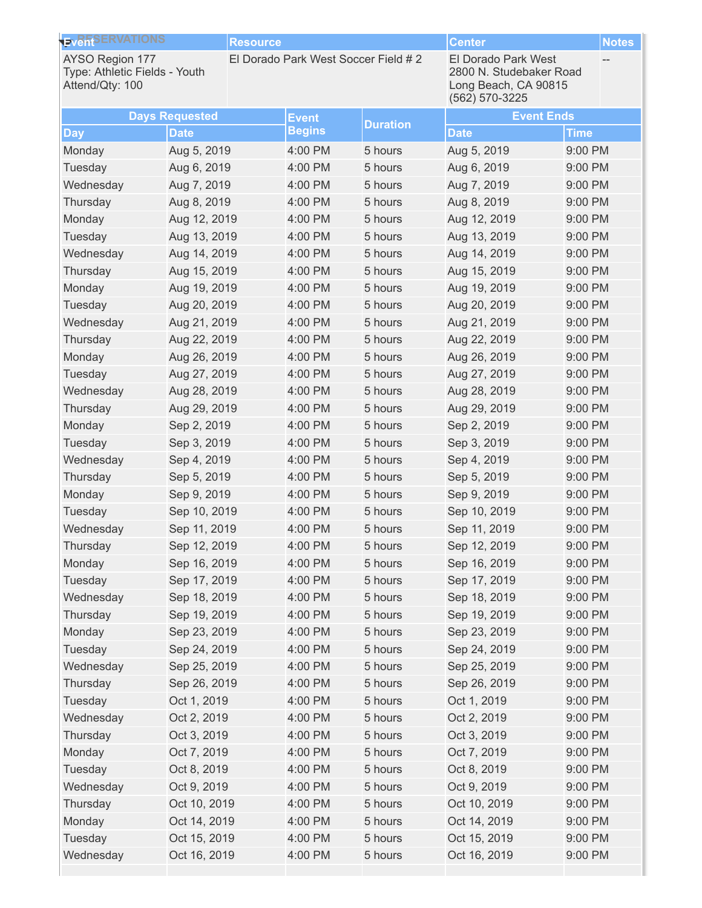| El Dorado Park West Soccer Field # 2<br><b>El Dorado Park West</b><br><b>AYSO Region 177</b><br>Type: Athletic Fields - Youth<br>2800 N. Studebaker Road<br>Attend/Qty: 100<br>Long Beach, CA 90815<br>(562) 570-3225 |  |
|-----------------------------------------------------------------------------------------------------------------------------------------------------------------------------------------------------------------------|--|
| <b>Event Ends</b><br><b>Days Requested</b><br><b>Event</b><br><b>Duration</b>                                                                                                                                         |  |
| <b>Begins</b><br><b>Date</b><br><b>Date</b><br><b>Time</b><br><b>Day</b>                                                                                                                                              |  |
| Monday<br>Aug 5, 2019<br>4:00 PM<br>5 hours<br>Aug 5, 2019<br>9:00 PM                                                                                                                                                 |  |
| Tuesday<br>4:00 PM<br>5 hours<br>Aug 6, 2019<br>9:00 PM<br>Aug 6, 2019                                                                                                                                                |  |
| Wednesday<br>Aug 7, 2019<br>4:00 PM<br>5 hours<br>Aug 7, 2019<br>9:00 PM                                                                                                                                              |  |
| 4:00 PM<br>9:00 PM<br>Thursday<br>Aug 8, 2019<br>5 hours<br>Aug 8, 2019                                                                                                                                               |  |
| 4:00 PM<br>Monday<br>Aug 12, 2019<br>5 hours<br>Aug 12, 2019<br>9:00 PM                                                                                                                                               |  |
| Tuesday<br>Aug 13, 2019<br>4:00 PM<br>9:00 PM<br>5 hours<br>Aug 13, 2019                                                                                                                                              |  |
| Wednesday<br>Aug 14, 2019<br>4:00 PM<br>5 hours<br>Aug 14, 2019<br>9:00 PM                                                                                                                                            |  |
| 4:00 PM<br>9:00 PM<br>Thursday<br>Aug 15, 2019<br>5 hours<br>Aug 15, 2019                                                                                                                                             |  |
| 4:00 PM<br>Monday<br>Aug 19, 2019<br>5 hours<br>Aug 19, 2019<br>9:00 PM                                                                                                                                               |  |
| Tuesday<br>4:00 PM<br>9:00 PM<br>Aug 20, 2019<br>5 hours<br>Aug 20, 2019                                                                                                                                              |  |
| Wednesday<br>Aug 21, 2019<br>4:00 PM<br>5 hours<br>Aug 21, 2019<br>9:00 PM                                                                                                                                            |  |
| Thursday<br>4:00 PM<br>5 hours<br>Aug 22, 2019<br>9:00 PM<br>Aug 22, 2019                                                                                                                                             |  |
| 4:00 PM<br>Monday<br>Aug 26, 2019<br>5 hours<br>Aug 26, 2019<br>9:00 PM                                                                                                                                               |  |
| Tuesday<br>4:00 PM<br>9:00 PM<br>Aug 27, 2019<br>5 hours<br>Aug 27, 2019                                                                                                                                              |  |
| Wednesday<br>Aug 28, 2019<br>4:00 PM<br>5 hours<br>Aug 28, 2019<br>9:00 PM                                                                                                                                            |  |
| Thursday<br>4:00 PM<br>5 hours<br>Aug 29, 2019<br>9:00 PM<br>Aug 29, 2019                                                                                                                                             |  |
| Sep 2, 2019<br>Monday<br>Sep 2, 2019<br>4:00 PM<br>5 hours<br>9:00 PM                                                                                                                                                 |  |
| Tuesday<br>4:00 PM<br>9:00 PM<br>Sep 3, 2019<br>5 hours<br>Sep 3, 2019                                                                                                                                                |  |
| Wednesday<br>Sep 4, 2019<br>4:00 PM<br>5 hours<br>Sep 4, 2019<br>9:00 PM                                                                                                                                              |  |
| Thursday<br>4:00 PM<br>5 hours<br>Sep 5, 2019<br>9:00 PM<br>Sep 5, 2019                                                                                                                                               |  |
| Monday<br>Sep 9, 2019<br>4:00 PM<br>5 hours<br>Sep 9, 2019<br>9:00 PM                                                                                                                                                 |  |
| Tuesday<br>Sep 10, 2019<br>4:00 PM<br>5 hours<br>Sep 10, 2019<br>9:00 PM                                                                                                                                              |  |
| 4:00 PM<br>9:00 PM<br>Wednesday<br>Sep 11, 2019<br>5 hours<br>Sep 11, 2019                                                                                                                                            |  |
| Sep 12, 2019<br>4:00 PM<br>Sep 12, 2019<br>9:00 PM<br>Thursday<br>5 hours                                                                                                                                             |  |
| 4:00 PM<br>Sep 16, 2019<br>9:00 PM<br>Monday<br>Sep 16, 2019<br>5 hours                                                                                                                                               |  |
| 9:00 PM<br>Tuesday<br>Sep 17, 2019<br>4:00 PM<br>5 hours<br>Sep 17, 2019                                                                                                                                              |  |
| Sep 18, 2019<br>9:00 PM<br>Wednesday<br>Sep 18, 2019<br>4:00 PM<br>5 hours                                                                                                                                            |  |
| 4:00 PM<br>5 hours<br>9:00 PM<br>Thursday<br>Sep 19, 2019<br>Sep 19, 2019                                                                                                                                             |  |
| Sep 23, 2019<br>9:00 PM<br>Monday<br>Sep 23, 2019<br>4:00 PM<br>5 hours                                                                                                                                               |  |
| 9:00 PM<br>Tuesday<br>Sep 24, 2019<br>4:00 PM<br>5 hours<br>Sep 24, 2019                                                                                                                                              |  |
| Sep 25, 2019<br>9:00 PM<br>Wednesday<br>Sep 25, 2019<br>4:00 PM<br>5 hours                                                                                                                                            |  |
| 4:00 PM<br>5 hours<br>9:00 PM<br>Thursday<br>Sep 26, 2019<br>Sep 26, 2019                                                                                                                                             |  |
| Tuesday<br>Oct 1, 2019<br>4:00 PM<br>5 hours<br>Oct 1, 2019<br>9:00 PM                                                                                                                                                |  |
| Wednesday<br>Oct 2, 2019<br>4:00 PM<br>5 hours<br>Oct 2, 2019<br>9:00 PM                                                                                                                                              |  |
| 9:00 PM<br>Thursday<br>Oct 3, 2019<br>4:00 PM<br>5 hours<br>Oct 3, 2019                                                                                                                                               |  |
| Monday<br>4:00 PM<br>5 hours<br>9:00 PM<br>Oct 7, 2019<br>Oct 7, 2019                                                                                                                                                 |  |
| Tuesday<br>Oct 8, 2019<br>4:00 PM<br>5 hours<br>Oct 8, 2019<br>9:00 PM                                                                                                                                                |  |
| Wednesday<br>Oct 9, 2019<br>4:00 PM<br>5 hours<br>Oct 9, 2019<br>9:00 PM                                                                                                                                              |  |
| Oct 10, 2019<br>9:00 PM<br>Thursday<br>Oct 10, 2019<br>4:00 PM<br>5 hours                                                                                                                                             |  |
| Monday<br>4:00 PM<br>5 hours<br>Oct 14, 2019<br>9:00 PM<br>Oct 14, 2019                                                                                                                                               |  |
| Oct 15, 2019<br>9:00 PM<br>Tuesday<br>4:00 PM<br>5 hours<br>Oct 15, 2019                                                                                                                                              |  |
| Wednesday<br>Oct 16, 2019<br>4:00 PM<br>5 hours<br>Oct 16, 2019<br>9:00 PM                                                                                                                                            |  |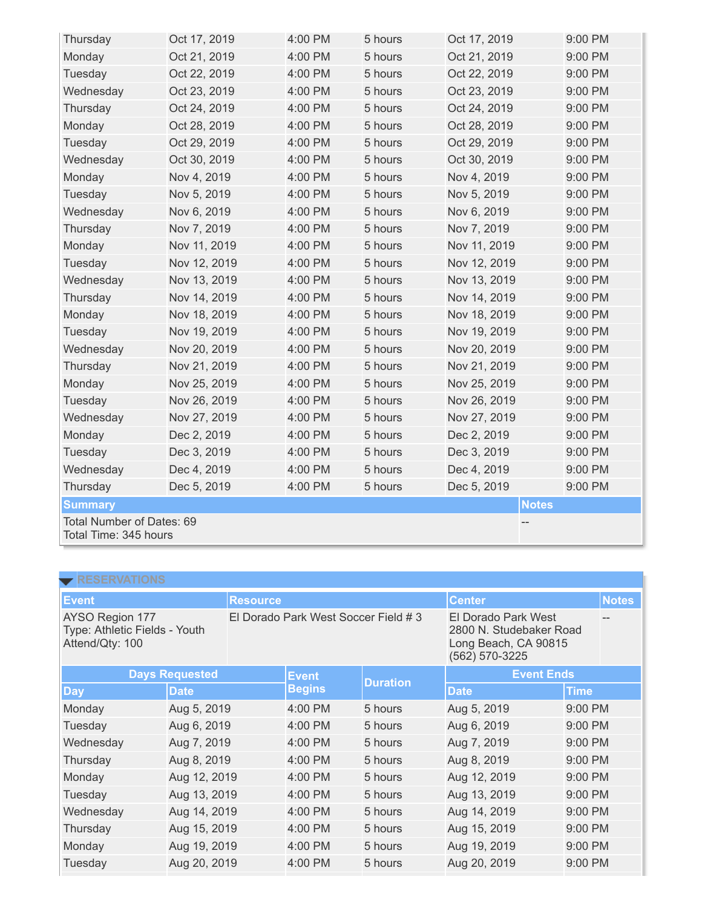| Thursday                                           | Oct 17, 2019 | 4:00 PM | 5 hours | Oct 17, 2019 |              | 9:00 PM |  |
|----------------------------------------------------|--------------|---------|---------|--------------|--------------|---------|--|
| Monday                                             | Oct 21, 2019 | 4:00 PM | 5 hours | Oct 21, 2019 |              | 9:00 PM |  |
| Tuesday                                            | Oct 22, 2019 | 4:00 PM | 5 hours | Oct 22, 2019 |              | 9:00 PM |  |
| Wednesday                                          | Oct 23, 2019 | 4:00 PM | 5 hours | Oct 23, 2019 |              | 9:00 PM |  |
| Thursday                                           | Oct 24, 2019 | 4:00 PM | 5 hours | Oct 24, 2019 |              | 9:00 PM |  |
| Monday                                             | Oct 28, 2019 | 4:00 PM | 5 hours | Oct 28, 2019 |              | 9:00 PM |  |
| Tuesday                                            | Oct 29, 2019 | 4:00 PM | 5 hours | Oct 29, 2019 |              | 9:00 PM |  |
| Wednesday                                          | Oct 30, 2019 | 4:00 PM | 5 hours | Oct 30, 2019 |              | 9:00 PM |  |
| Monday                                             | Nov 4, 2019  | 4:00 PM | 5 hours | Nov 4, 2019  |              | 9:00 PM |  |
| Tuesday                                            | Nov 5, 2019  | 4:00 PM | 5 hours | Nov 5, 2019  |              | 9:00 PM |  |
| Wednesday                                          | Nov 6, 2019  | 4:00 PM | 5 hours | Nov 6, 2019  |              | 9:00 PM |  |
| Thursday                                           | Nov 7, 2019  | 4:00 PM | 5 hours | Nov 7, 2019  |              | 9:00 PM |  |
| Monday                                             | Nov 11, 2019 | 4:00 PM | 5 hours | Nov 11, 2019 |              | 9:00 PM |  |
| Tuesday                                            | Nov 12, 2019 | 4:00 PM | 5 hours | Nov 12, 2019 |              | 9:00 PM |  |
| Wednesday                                          | Nov 13, 2019 | 4:00 PM | 5 hours | Nov 13, 2019 |              | 9:00 PM |  |
| Thursday                                           | Nov 14, 2019 | 4:00 PM | 5 hours | Nov 14, 2019 |              | 9:00 PM |  |
| Monday                                             | Nov 18, 2019 | 4:00 PM | 5 hours | Nov 18, 2019 |              | 9:00 PM |  |
| Tuesday                                            | Nov 19, 2019 | 4:00 PM | 5 hours | Nov 19, 2019 |              | 9:00 PM |  |
| Wednesday                                          | Nov 20, 2019 | 4:00 PM | 5 hours | Nov 20, 2019 |              | 9:00 PM |  |
| Thursday                                           | Nov 21, 2019 | 4:00 PM | 5 hours | Nov 21, 2019 |              | 9:00 PM |  |
| Monday                                             | Nov 25, 2019 | 4:00 PM | 5 hours | Nov 25, 2019 |              | 9:00 PM |  |
| Tuesday                                            | Nov 26, 2019 | 4:00 PM | 5 hours | Nov 26, 2019 |              | 9:00 PM |  |
| Wednesday                                          | Nov 27, 2019 | 4:00 PM | 5 hours | Nov 27, 2019 |              | 9:00 PM |  |
| Monday                                             | Dec 2, 2019  | 4:00 PM | 5 hours | Dec 2, 2019  |              | 9:00 PM |  |
| Tuesday                                            | Dec 3, 2019  | 4:00 PM | 5 hours | Dec 3, 2019  |              | 9:00 PM |  |
| Wednesday                                          | Dec 4, 2019  | 4:00 PM | 5 hours | Dec 4, 2019  |              | 9:00 PM |  |
| Thursday                                           | Dec 5, 2019  | 4:00 PM | 5 hours | Dec 5, 2019  |              | 9:00 PM |  |
| <b>Summary</b>                                     |              |         |         |              | <b>Notes</b> |         |  |
| Total Number of Dates: 69<br>Total Time: 345 hours |              |         |         |              |              |         |  |

| <b>RESERVATIONS</b>                                                 |                       |                                      |               |                 |                                                                                          |             |              |  |  |
|---------------------------------------------------------------------|-----------------------|--------------------------------------|---------------|-----------------|------------------------------------------------------------------------------------------|-------------|--------------|--|--|
| <b>Event</b>                                                        |                       | <b>Resource</b>                      |               |                 | <b>Center</b>                                                                            |             | <b>Notes</b> |  |  |
| AYSO Region 177<br>Type: Athletic Fields - Youth<br>Attend/Qty: 100 |                       | El Dorado Park West Soccer Field # 3 |               |                 | El Dorado Park West<br>2800 N. Studebaker Road<br>Long Beach, CA 90815<br>(562) 570-3225 |             |              |  |  |
|                                                                     | <b>Days Requested</b> |                                      | <b>Event</b>  | <b>Duration</b> | <b>Event Ends</b>                                                                        |             |              |  |  |
| <b>Day</b>                                                          | <b>Date</b>           |                                      | <b>Begins</b> |                 | <b>Date</b>                                                                              | <b>Time</b> |              |  |  |
| Monday                                                              | Aug 5, 2019           |                                      | 4:00 PM       | 5 hours         | Aug 5, 2019                                                                              | 9:00 PM     |              |  |  |
| Tuesday                                                             | Aug 6, 2019           |                                      | 4:00 PM       | 5 hours         | Aug 6, 2019                                                                              | 9:00 PM     |              |  |  |
| Wednesday                                                           | Aug 7, 2019           |                                      | 4:00 PM       | 5 hours         | Aug 7, 2019                                                                              | 9:00 PM     |              |  |  |
| Thursday                                                            | Aug 8, 2019           |                                      | 4:00 PM       | 5 hours         | Aug 8, 2019                                                                              | 9:00 PM     |              |  |  |
| Monday                                                              | Aug 12, 2019          |                                      | 4:00 PM       | 5 hours         | Aug 12, 2019                                                                             | 9:00 PM     |              |  |  |
| Tuesday                                                             | Aug 13, 2019          |                                      | 4:00 PM       | 5 hours         | Aug 13, 2019                                                                             | 9:00 PM     |              |  |  |
| Wednesday                                                           | Aug 14, 2019          |                                      | 4:00 PM       | 5 hours         | Aug 14, 2019                                                                             | 9:00 PM     |              |  |  |
| Thursday                                                            | Aug 15, 2019          |                                      | 4:00 PM       | 5 hours         | Aug 15, 2019                                                                             | 9:00 PM     |              |  |  |
| Monday                                                              | Aug 19, 2019          |                                      | 4:00 PM       | 5 hours         | Aug 19, 2019                                                                             | 9:00 PM     |              |  |  |
| Tuesday                                                             | Aug 20, 2019          |                                      | 4:00 PM       | 5 hours         | Aug 20, 2019                                                                             | 9:00 PM     |              |  |  |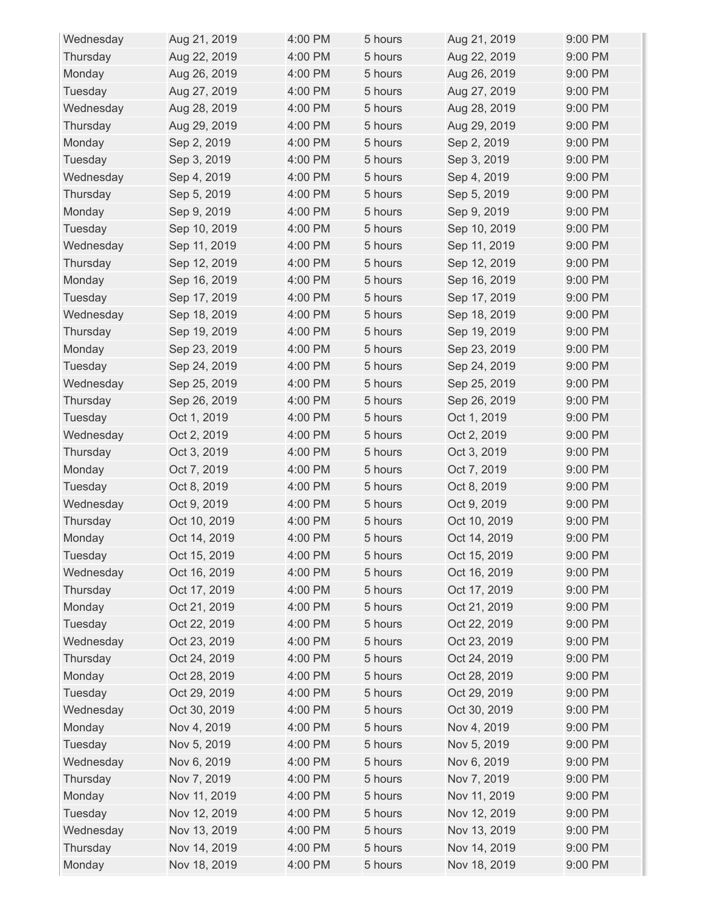| Wednesday | Aug 21, 2019 | 4:00 PM | 5 hours | Aug 21, 2019 | 9:00 PM |
|-----------|--------------|---------|---------|--------------|---------|
| Thursday  | Aug 22, 2019 | 4:00 PM | 5 hours | Aug 22, 2019 | 9:00 PM |
| Monday    | Aug 26, 2019 | 4:00 PM | 5 hours | Aug 26, 2019 | 9:00 PM |
| Tuesday   | Aug 27, 2019 | 4:00 PM | 5 hours | Aug 27, 2019 | 9:00 PM |
| Wednesday | Aug 28, 2019 | 4:00 PM | 5 hours | Aug 28, 2019 | 9:00 PM |
| Thursday  | Aug 29, 2019 | 4:00 PM | 5 hours | Aug 29, 2019 | 9:00 PM |
| Monday    | Sep 2, 2019  | 4:00 PM | 5 hours | Sep 2, 2019  | 9:00 PM |
| Tuesday   | Sep 3, 2019  | 4:00 PM | 5 hours | Sep 3, 2019  | 9:00 PM |
| Wednesday | Sep 4, 2019  | 4:00 PM | 5 hours | Sep 4, 2019  | 9:00 PM |
| Thursday  | Sep 5, 2019  | 4:00 PM | 5 hours | Sep 5, 2019  | 9:00 PM |
| Monday    | Sep 9, 2019  | 4:00 PM | 5 hours | Sep 9, 2019  | 9:00 PM |
| Tuesday   | Sep 10, 2019 | 4:00 PM | 5 hours | Sep 10, 2019 | 9:00 PM |
| Wednesday | Sep 11, 2019 | 4:00 PM | 5 hours | Sep 11, 2019 | 9:00 PM |
| Thursday  | Sep 12, 2019 | 4:00 PM | 5 hours | Sep 12, 2019 | 9:00 PM |
| Monday    | Sep 16, 2019 | 4:00 PM | 5 hours | Sep 16, 2019 | 9:00 PM |
| Tuesday   | Sep 17, 2019 | 4:00 PM | 5 hours | Sep 17, 2019 | 9:00 PM |
| Wednesday | Sep 18, 2019 | 4:00 PM | 5 hours | Sep 18, 2019 | 9:00 PM |
| Thursday  | Sep 19, 2019 | 4:00 PM | 5 hours | Sep 19, 2019 | 9:00 PM |
| Monday    | Sep 23, 2019 | 4:00 PM | 5 hours | Sep 23, 2019 | 9:00 PM |
| Tuesday   | Sep 24, 2019 | 4:00 PM | 5 hours | Sep 24, 2019 | 9:00 PM |
| Wednesday | Sep 25, 2019 | 4:00 PM | 5 hours | Sep 25, 2019 | 9:00 PM |
| Thursday  | Sep 26, 2019 | 4:00 PM | 5 hours | Sep 26, 2019 | 9:00 PM |
| Tuesday   | Oct 1, 2019  | 4:00 PM | 5 hours | Oct 1, 2019  | 9:00 PM |
| Wednesday | Oct 2, 2019  | 4:00 PM | 5 hours | Oct 2, 2019  | 9:00 PM |
| Thursday  | Oct 3, 2019  | 4:00 PM | 5 hours | Oct 3, 2019  | 9:00 PM |
| Monday    | Oct 7, 2019  | 4:00 PM | 5 hours | Oct 7, 2019  | 9:00 PM |
| Tuesday   | Oct 8, 2019  | 4:00 PM | 5 hours | Oct 8, 2019  | 9:00 PM |
| Wednesday | Oct 9, 2019  | 4:00 PM | 5 hours | Oct 9, 2019  | 9:00 PM |
| Thursday  | Oct 10, 2019 | 4:00 PM | 5 hours | Oct 10, 2019 | 9:00 PM |
| Monday    | Oct 14, 2019 | 4:00 PM | 5 hours | Oct 14, 2019 | 9:00 PM |
| Tuesday   | Oct 15, 2019 | 4:00 PM | 5 hours | Oct 15, 2019 | 9:00 PM |
| Wednesday | Oct 16, 2019 | 4:00 PM | 5 hours | Oct 16, 2019 | 9:00 PM |
| Thursday  | Oct 17, 2019 | 4:00 PM | 5 hours | Oct 17, 2019 | 9:00 PM |
| Monday    | Oct 21, 2019 | 4:00 PM | 5 hours | Oct 21, 2019 | 9:00 PM |
| Tuesday   | Oct 22, 2019 | 4:00 PM | 5 hours | Oct 22, 2019 | 9:00 PM |
| Wednesday | Oct 23, 2019 | 4:00 PM | 5 hours | Oct 23, 2019 | 9:00 PM |
| Thursday  | Oct 24, 2019 | 4:00 PM | 5 hours | Oct 24, 2019 | 9:00 PM |
| Monday    | Oct 28, 2019 | 4:00 PM | 5 hours | Oct 28, 2019 | 9:00 PM |
| Tuesday   | Oct 29, 2019 | 4:00 PM | 5 hours | Oct 29, 2019 | 9:00 PM |
| Wednesday | Oct 30, 2019 | 4:00 PM | 5 hours | Oct 30, 2019 | 9:00 PM |
| Monday    | Nov 4, 2019  | 4:00 PM | 5 hours | Nov 4, 2019  | 9:00 PM |
| Tuesday   | Nov 5, 2019  | 4:00 PM | 5 hours | Nov 5, 2019  | 9:00 PM |
| Wednesday | Nov 6, 2019  | 4:00 PM | 5 hours | Nov 6, 2019  | 9:00 PM |
| Thursday  | Nov 7, 2019  | 4:00 PM | 5 hours | Nov 7, 2019  | 9:00 PM |
| Monday    | Nov 11, 2019 | 4:00 PM | 5 hours | Nov 11, 2019 | 9:00 PM |
| Tuesday   | Nov 12, 2019 | 4:00 PM | 5 hours | Nov 12, 2019 | 9:00 PM |
| Wednesday | Nov 13, 2019 | 4:00 PM | 5 hours | Nov 13, 2019 | 9:00 PM |
| Thursday  | Nov 14, 2019 | 4:00 PM | 5 hours | Nov 14, 2019 | 9:00 PM |
| Monday    | Nov 18, 2019 | 4:00 PM | 5 hours | Nov 18, 2019 | 9:00 PM |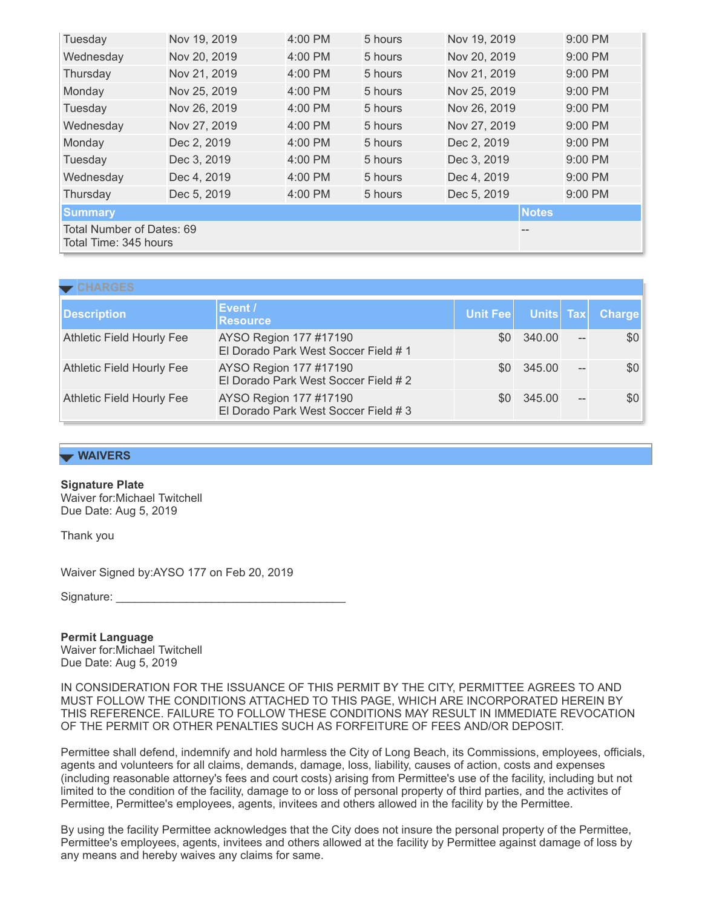| Tuesday                                                  | Nov 19, 2019 | 4:00 PM   | 5 hours | Nov 19, 2019 | 9:00 PM   |  |
|----------------------------------------------------------|--------------|-----------|---------|--------------|-----------|--|
| Wednesday                                                | Nov 20, 2019 | 4:00 PM   | 5 hours | Nov 20, 2019 | 9:00 PM   |  |
| Thursday                                                 | Nov 21, 2019 | 4:00 PM   | 5 hours | Nov 21, 2019 | 9:00 PM   |  |
| Monday                                                   | Nov 25, 2019 | $4:00$ PM | 5 hours | Nov 25, 2019 | $9:00$ PM |  |
| Tuesday                                                  | Nov 26, 2019 | 4:00 PM   | 5 hours | Nov 26, 2019 | 9:00 PM   |  |
| Wednesday                                                | Nov 27, 2019 | 4:00 PM   | 5 hours | Nov 27, 2019 | 9:00 PM   |  |
| Monday                                                   | Dec 2, 2019  | 4:00 PM   | 5 hours | Dec 2, 2019  | 9:00 PM   |  |
| Tuesday                                                  | Dec 3, 2019  | 4:00 PM   | 5 hours | Dec 3, 2019  | 9:00 PM   |  |
| Wednesday                                                | Dec 4, 2019  | 4:00 PM   | 5 hours | Dec 4, 2019  | 9:00 PM   |  |
| Thursday                                                 | Dec 5, 2019  | 4:00 PM   | 5 hours | Dec 5, 2019  | 9:00 PM   |  |
| <b>Summary</b>                                           |              |           |         | <b>Notes</b> |           |  |
| Total Number of Dates: 69<br>--<br>Total Time: 345 hours |              |           |         |              |           |  |

| <b>Description</b>               | Event /<br><b>Resource</b>                                     | Unit Fee | Units Tax  |      | <b>Charge</b> |
|----------------------------------|----------------------------------------------------------------|----------|------------|------|---------------|
| <b>Athletic Field Hourly Fee</b> | AYSO Region 177 #17190<br>El Dorado Park West Soccer Field # 1 |          | \$0 340.00 |      | \$0           |
| <b>Athletic Field Hourly Fee</b> | AYSO Region 177 #17190<br>El Dorado Park West Soccer Field #2  |          | \$0 345.00 |      | \$0           |
| <b>Athletic Field Hourly Fee</b> | AYSO Region 177 #17190<br>El Dorado Park West Soccer Field #3  |          | \$0 345.00 | $--$ | \$0           |

# **WAIVERS**

#### **Signature Plate**

Waiver for:Michael Twitchell Due Date: Aug 5, 2019

Thank you

Waiver Signed by:AYSO 177 on Feb 20, 2019

Signature:

**Permit Language** Waiver for:Michael Twitchell Due Date: Aug 5, 2019

IN CONSIDERATION FOR THE ISSUANCE OF THIS PERMIT BY THE CITY, PERMITTEE AGREES TO AND MUST FOLLOW THE CONDITIONS ATTACHED TO THIS PAGE, WHICH ARE INCORPORATED HEREIN BY THIS REFERENCE. FAILURE TO FOLLOW THESE CONDITIONS MAY RESULT IN IMMEDIATE REVOCATION OF THE PERMIT OR OTHER PENALTIES SUCH AS FORFEITURE OF FEES AND/OR DEPOSIT.

Permittee shall defend, indemnify and hold harmless the City of Long Beach, its Commissions, employees, officials, agents and volunteers for all claims, demands, damage, loss, liability, causes of action, costs and expenses (including reasonable attorney's fees and court costs) arising from Permittee's use of the facility, including but not limited to the condition of the facility, damage to or loss of personal property of third parties, and the activites of Permittee, Permittee's employees, agents, invitees and others allowed in the facility by the Permittee.

By using the facility Permittee acknowledges that the City does not insure the personal property of the Permittee, Permittee's employees, agents, invitees and others allowed at the facility by Permittee against damage of loss by any means and hereby waives any claims for same.